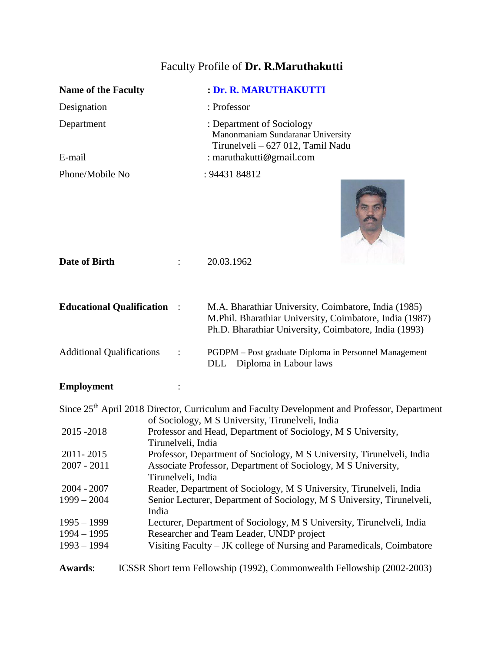# Faculty Profile of **Dr. R.Maruthakutti**

|                                    |                    | : Dr. R. MARUTHAKUTTI                                                                                                                                                    |
|------------------------------------|--------------------|--------------------------------------------------------------------------------------------------------------------------------------------------------------------------|
| Name of the Faculty                |                    |                                                                                                                                                                          |
| Designation                        |                    | : Professor                                                                                                                                                              |
| Department<br>E-mail               |                    | : Department of Sociology<br>Manonmaniam Sundaranar University<br>Tirunelveli - 627 012, Tamil Nadu<br>: maruthakutti@gmail.com                                          |
|                                    |                    |                                                                                                                                                                          |
| Phone/Mobile No                    |                    | : 94431 84812                                                                                                                                                            |
| Date of Birth                      |                    | 20.03.1962                                                                                                                                                               |
| <b>Educational Qualification :</b> |                    | M.A. Bharathiar University, Coimbatore, India (1985)<br>M.Phil. Bharathiar University, Coimbatore, India (1987)<br>Ph.D. Bharathiar University, Coimbatore, India (1993) |
| <b>Additional Qualifications</b>   |                    | PGDPM - Post graduate Diploma in Personnel Management<br>DLL - Diploma in Labour laws                                                                                    |
| <b>Employment</b>                  |                    |                                                                                                                                                                          |
|                                    |                    | Since 25 <sup>th</sup> April 2018 Director, Curriculum and Faculty Development and Professor, Department<br>of Sociology, M S University, Tirunelveli, India             |
| 2015-2018                          | Tirunelveli, India | Professor and Head, Department of Sociology, M S University,                                                                                                             |
| 2011-2015                          |                    | Professor, Department of Sociology, M S University, Tirunelveli, India                                                                                                   |

2007 - 2011 Associate Professor, Department of Sociology, M S University, Tirunelveli, India 2004 - 2007 Reader, Department of Sociology, M S University, Tirunelveli, India<br>1999 – 2004 Senior Lecturer, Department of Sociology, M S University, Tirunelve Senior Lecturer, Department of Sociology, M S University, Tirunelveli, India

| $1995 - 1999$ | Lecturer, Department of Sociology, M S University, Tirunelveli, India |
|---------------|-----------------------------------------------------------------------|
| 1994 – 1995   | Researcher and Team Leader, UNDP project                              |

1993 – 1994 Visiting Faculty – JK college of Nursing and Paramedicals, Coimbatore

**Awards**: ICSSR Short term Fellowship (1992), Commonwealth Fellowship (2002-2003)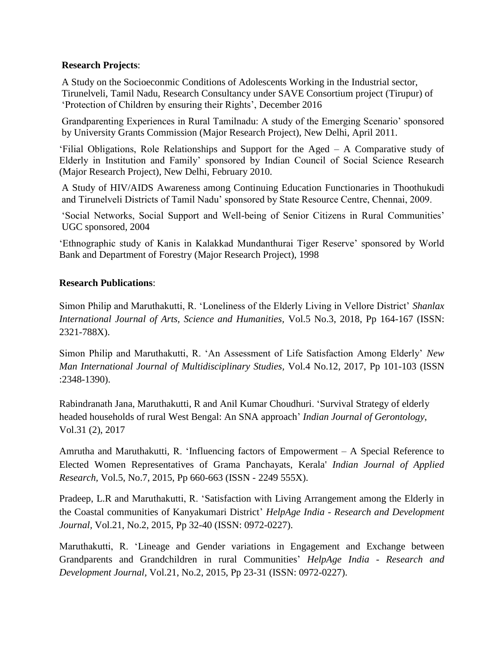### **Research Projects**:

A Study on the Socioeconmic Conditions of Adolescents Working in the Industrial sector, Tirunelveli, Tamil Nadu, Research Consultancy under SAVE Consortium project (Tirupur) of 'Protection of Children by ensuring their Rights', December 2016

Grandparenting Experiences in Rural Tamilnadu: A study of the Emerging Scenario' sponsored by University Grants Commission (Major Research Project), New Delhi, April 2011.

'Filial Obligations, Role Relationships and Support for the Aged – A Comparative study of Elderly in Institution and Family' sponsored by Indian Council of Social Science Research (Major Research Project), New Delhi, February 2010.

A Study of HIV/AIDS Awareness among Continuing Education Functionaries in Thoothukudi and Tirunelveli Districts of Tamil Nadu' sponsored by State Resource Centre, Chennai, 2009.

'Social Networks, Social Support and Well-being of Senior Citizens in Rural Communities' UGC sponsored, 2004

'Ethnographic study of Kanis in Kalakkad Mundanthurai Tiger Reserve' sponsored by World Bank and Department of Forestry (Major Research Project), 1998

### **Research Publications**:

Simon Philip and Maruthakutti, R. 'Loneliness of the Elderly Living in Vellore District' *Shanlax International Journal of Arts, Science and Humanities,* Vol.5 No.3, 2018, Pp 164-167 (ISSN: 2321-788X).

Simon Philip and Maruthakutti, R. 'An Assessment of Life Satisfaction Among Elderly' *New Man International Journal of Multidisciplinary Studies,* Vol.4 No.12, 2017, Pp 101-103 (ISSN :2348-1390).

Rabindranath Jana, Maruthakutti, R and Anil Kumar Choudhuri. 'Survival Strategy of elderly headed households of rural West Bengal: An SNA approach' *Indian Journal of Gerontology*, Vol.31 (2), 2017

Amrutha and Maruthakutti, R. 'Influencing factors of Empowerment – A Special Reference to Elected Women Representatives of Grama Panchayats, Kerala' *Indian Journal of Applied Research,* Vol.5, No.7, 2015, Pp 660-663 (ISSN - 2249 555X).

Pradeep, L.R and Maruthakutti, R. 'Satisfaction with Living Arrangement among the Elderly in the Coastal communities of Kanyakumari District' *HelpAge India - Research and Development Journal,* Vol.21, No.2, 2015, Pp 32-40 (ISSN: 0972-0227).

Maruthakutti, R. 'Lineage and Gender variations in Engagement and Exchange between Grandparents and Grandchildren in rural Communities' *HelpAge India - Research and Development Journal,* Vol.21, No.2, 2015, Pp 23-31 (ISSN: 0972-0227).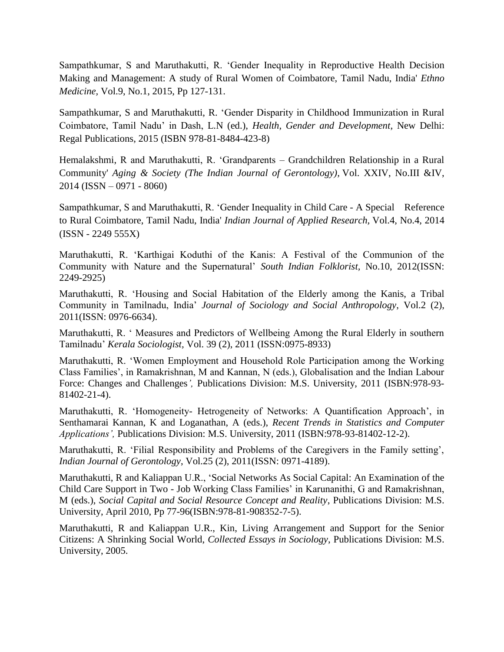Sampathkumar, S and Maruthakutti, R. 'Gender Inequality in Reproductive Health Decision Making and Management: A study of Rural Women of Coimbatore, Tamil Nadu, India' *Ethno Medicine,* Vol.9, No.1, 2015, Pp 127-131.

Sampathkumar, S and Maruthakutti, R. 'Gender Disparity in Childhood Immunization in Rural Coimbatore, Tamil Nadu' in Dash, L.N (ed.), *Health, Gender and Development,* New Delhi: Regal Publications, 2015 (ISBN 978-81-8484-423-8)

Hemalakshmi, R and Maruthakutti, R. 'Grandparents – Grandchildren Relationship in a Rural Community' *Aging & Society (The Indian Journal of Gerontology),* Vol. XXIV, No.III &IV, 2014 (ISSN – 0971 - 8060)

Sampathkumar, S and Maruthakutti, R. 'Gender Inequality in Child Care - A Special Reference to Rural Coimbatore, Tamil Nadu, India' *Indian Journal of Applied Research,* Vol.4, No.4, 2014 (ISSN - 2249 555X)

Maruthakutti, R. 'Karthigai Koduthi of the Kanis: A Festival of the Communion of the Community with Nature and the Supernatural' *South Indian Folklorist,* No.10, 2012(ISSN: 2249-2925)

Maruthakutti, R. 'Housing and Social Habitation of the Elderly among the Kanis, a Tribal Community in Tamilnadu, India' *Journal of Sociology and Social Anthropology*, Vol.2 (2), 2011(ISSN: 0976-6634).

Maruthakutti, R. ' Measures and Predictors of Wellbeing Among the Rural Elderly in southern Tamilnadu' *Kerala Sociologist,* Vol. 39 (2), 2011 (ISSN:0975-8933)

Maruthakutti, R. 'Women Employment and Household Role Participation among the Working Class Families', in Ramakrishnan, M and Kannan, N (eds.), Globalisation and the Indian Labour Force: Changes and Challenges*',* Publications Division: M.S. University, 2011 (ISBN:978-93- 81402-21-4).

Maruthakutti, R. 'Homogeneity- Hetrogeneity of Networks: A Quantification Approach', in Senthamarai Kannan, K and Loganathan, A (eds.), *Recent Trends in Statistics and Computer Applications',* Publications Division: M.S. University, 2011 (ISBN:978-93-81402-12-2).

Maruthakutti, R. 'Filial Responsibility and Problems of the Caregivers in the Family setting', *Indian Journal of Gerontology*, Vol.25 (2), 2011(ISSN: 0971-4189).

Maruthakutti, R and Kaliappan U.R., 'Social Networks As Social Capital: An Examination of the Child Care Support in Two - Job Working Class Families' in Karunanithi, G and Ramakrishnan, M (eds.), *Social Capital and Social Resource Concept and Reality*, Publications Division: M.S. University, April 2010, Pp 77-96(ISBN:978-81-908352-7-5).

Maruthakutti, R and Kaliappan U.R., Kin, Living Arrangement and Support for the Senior Citizens: A Shrinking Social World, *Collected Essays in Sociology*, Publications Division: M.S. University, 2005.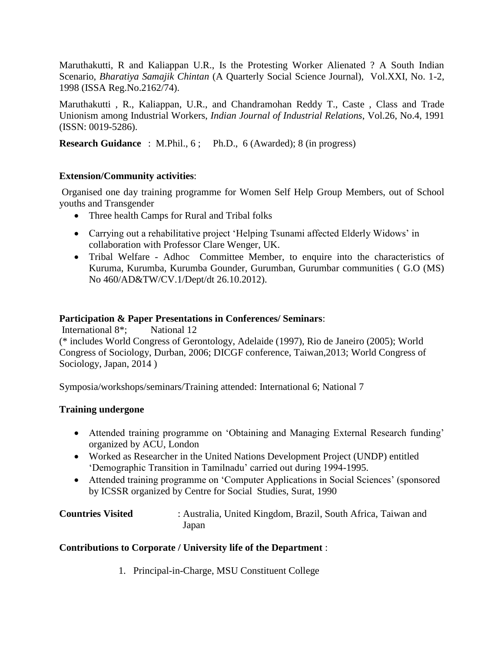Maruthakutti, R and Kaliappan U.R., Is the Protesting Worker Alienated ? A South Indian Scenario, *Bharatiya Samajik Chintan* (A Quarterly Social Science Journal), Vol.XXI, No. 1-2, 1998 (ISSA Reg.No.2162/74).

Maruthakutti , R., Kaliappan, U.R., and Chandramohan Reddy T., Caste , Class and Trade Unionism among Industrial Workers, *Indian Journal of Industrial Relations*, Vol.26, No.4, 1991 (ISSN: 0019-5286).

**Research Guidance** : M.Phil., 6; Ph.D., 6 (Awarded); 8 (in progress)

### **Extension/Community activities**:

Organised one day training programme for Women Self Help Group Members, out of School youths and Transgender

- Three health Camps for Rural and Tribal folks
- Carrying out a rehabilitative project 'Helping Tsunami affected Elderly Widows' in collaboration with Professor Clare Wenger, UK.
- Tribal Welfare Adhoc Committee Member, to enquire into the characteristics of Kuruma, Kurumba, Kurumba Gounder, Gurumban, Gurumbar communities ( G.O (MS) No 460/AD&TW/CV.1/Dept/dt 26.10.2012).

#### **Participation & Paper Presentations in Conferences/ Seminars**:

International 8<sup>\*</sup>; National 12 (\* includes World Congress of Gerontology, Adelaide (1997), Rio de Janeiro (2005); World Congress of Sociology, Durban, 2006; DICGF conference, Taiwan,2013; World Congress of Sociology, Japan, 2014 )

Symposia/workshops/seminars/Training attended: International 6; National 7

## **Training undergone**

- Attended training programme on 'Obtaining and Managing External Research funding' organized by ACU, London
- Worked as Researcher in the United Nations Development Project (UNDP) entitled 'Demographic Transition in Tamilnadu' carried out during 1994-1995.
- Attended training programme on 'Computer Applications in Social Sciences' (sponsored by ICSSR organized by Centre for Social Studies, Surat, 1990
- **Countries Visited** : Australia, United Kingdom, Brazil, South Africa, Taiwan and Japan

## **Contributions to Corporate / University life of the Department** :

1. Principal-in-Charge, MSU Constituent College